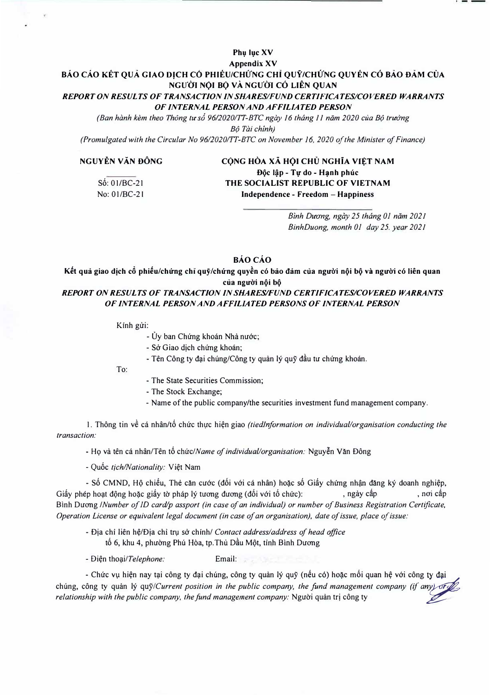## **Appendix XV**  BÁO CÁO KÉT QUẢ GIAO DICH CÓ PHIEU/CHỨNG CHỈ QUÝ/CHỨNG QUYEN CÓ BẢO ĐẢM CỦA **NGl<sup>f</sup> OI NQI B<) VA NGU'OI CO LIEN QUAN**  *REPORT ON RESULTS OF TRANSACTION IN SHARES/FUND CERTIFICATES/COVERED WARRANTS OF INTERNAL PERSON AND AFFILIATED PERSON*

Phu luc XV

*(Ban hành kèm theo Thông tư số 96/2020/TT-BTC ngày 16 tháng 11 năm 2020 của Bô trưởng*  $B$ ô Tài chinh)

*(Promulgated with the Circular No 96/2020/1T-BTC on November I 6, 2020 of the Minister of Finance)* 

## NGUYỀN VĂN ĐÔNG CỘNG HÒA XÃ HỘI CHỦ NGHĨA VIỆT NAM

S6: 0 I/BC-2 I No: 0 I/BC-21

Độc lập - Tự do - Hạnh phúc **THE SOCIALIST REPUBLIC OF VIETNAM**  Independence - Freedom - Happiness

> Bình Dương, ngày 25 tháng 01 năm 2021 *BinhDuong, month OJ day 25. year 2021*

**oAocAo** 

Kết quả giao dịch cổ phiếu/chứng chỉ quỹ/chứng quyền có bảo đảm của người nội bộ và người có liên quan của người nội bộ

*REPORT ON RESULTS OF TRANSACTION IN SHARES/FUND CERTIFICATES/COVERED WARRANTS OF INTERNAL PERSON AND AFFILIATED PERSONS OF INTERNAL PERSON* 

Kinh gửi:

- Ủy ban Chứng khoán Nhà nước;
- Sở Giao dịch chứng khoán;
- Tên Công ty đại chúng/Công ty quản lý quỹ đầu tư chứng khoán.

To:

- The State Securities Commission;
- The Stock Exchange;
- Name of the public company/the securities investment fund management company.

1. Thông tin về cá nhân/tố chức thực hiện giao *(tiedInformation on individual/organisation conducting the transaction:* 

- Họ và tên cá nhân/Tên tổ chức/Name of individual/organisation: Nguyễn Văn Đông

- Qu6c *tich/Nationality:* Vi�t Nam

- Số CMND, Hộ chiếu, Thẻ căn cước (đối với cá nhân) hoặc số Giấy chứng nhận đăng ký doanh nghiệp, Giấy phép hoạt động hoặc giấy tờ pháp lý tương đương (đối với tố chức): , ngày cấp , nơi cấp Binh Duong */Number of ID card/p assport (in case of an individual) or number of Business Registration Certificate, Operation License or equivalent legal document (in case of an organisation), date of issue, place of issue:* 

- Oja chi lien h�/Dia chi tr1,1 s6 chinh/ *Contact address/address of head office* tố 6, khu 4, phường Phú Hòa, tp. Thủ Dầu Một, tỉnh Bình Dương

- 0i�n *tho�i/Telephone:* Email:

- Chức vụ hiện nay tại công ty đại chúng, công ty quản lý quỹ (nếu có) hoặc mối quan hệ với công ty đại chung, công ty quàn lý quỹ/Current position in the public company, the fund management company (if any) of  $\mathbb Z$ *relationship with the public company, the fund management company:* Nguời quản tri công ty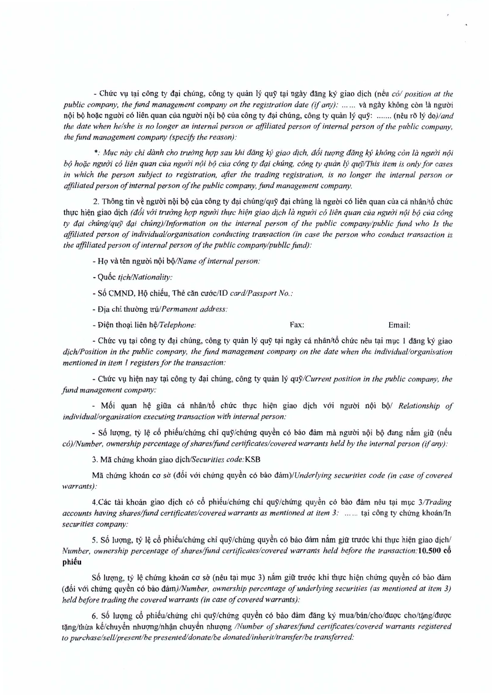- Chtrc vu tai cong ty dai chung, cong ty quan Iy quy tai ngay dang ky giao dich (neu *co/ position at the public company, the fund management company on the registration date (if any): ...... và ngày không còn là người* nôi bô hoặc người có liên quan của người nội bộ của công ty đại chúng, công ty quản lý quỹ: ....... (nêu rõ lý do)/and *the date when he/she is no longer an internal person or affiliated person of internal person of the public company, the fund management company (specify the reason):* 

\*: *M1,Icnay chi danh cho trutrng h9'Psau khi dang kf; giao dich, d6i tuang dang kf; khong con la ngutri n6i* bộ hoặc người có liên quan của người nội bộ của công ty đại chúng, công ty quản lý quỹ/This item is only for cases *in which the person subject to registration, after the trading registration, is no longer the internal person or affiliated person of internal person of (hepublic company,fund management company.*

2. Thông tin về người nội bộ của công ty đại chúng/quỹ đại chúng là người có liên quan của cá nhân/tổ chức thuc hien giao djch *(d6i WYitrutmg h9'Pnguo! thuc hien giao dich la nguai co lien quan clia nguai n(ji be) cua cong ty d(li chung/quy a(li chUng)/lnformation on the internal person of the public company/public fund who Is the affiliated person of individual/organisation conducting transaction (in case the person who conduct transaction is the affiliated person of internal person of the public company/public fund):* 

- HQ va ten nguoi noi *bo/Name of internal person:*

- Qu6c *t;ch/Nationality:*
- s6 CMND, HQ chi€u, The can cu6c/ID *card/Passport No.:*
- Địa chỉ thường *trú/Permanent address:*

- <del>D</del>iên thoai liên hê/Telephone: Fax: Fax: Email:

- Chức vụ tại công ty đại chúng, công ty quản lý quỹ tại ngày cá nhân/tố chức nêu tại mục 1 đăng ký giao *d;ch/Position in the public company, the fund management company on the date when the individual/organisation mentioned in item I registersfor the transaction:*

 $-$  *Chức* vụ hiện nay tại công ty đại chúng, công ty quản lý quỹ/Current position in the public company, the *fund management company:*

- Mối quan hệ giữa cá nhân/tổ chức thực hiện giao dịch với người nội bộ/ *Relationship of individual/organisation executing transaction with internal person:*

- Số lượng, tỷ lệ cổ phiếu/chứng chi quỹ/chứng quyền có bảo đảm mà người nội bộ đang nắm giữ (nếu *coY/Number,ownership percentage of shareslfond certificateslcovered warrants held by the internalperson (if any):*

3. Mfi *chung* khOlin giao *dich/Securities code:KSB*

Mã chứng khoán cơ sở (đối với chứng quyền có bảo đảm)/*Underlying securities code (in case of covered warrants):*

4.Các tài khoản giao dịch có cổ phiếu/chứng chỉ quỹ/chứng quyền có bảo đảm nêu tại mục 3/Trading *accounts having shares/fund certificates/covered warrants as mentioned at item 3:* ...... tại công ty chứng khoán/In *securities company:*

5. Số lượng, tỷ lệ cổ phiếu/chứng chi quỹ/chứng quyền có bào đảm nắm giữ trước khi thực hiện giao dịch/ *Number, ownership percentage of shares/fund certificates/covered warrants held before the transaction:10.500 c6* phiếu

Số lượng, tỷ lệ chứng khoán cơ sở (nêu tại mục 3) nắm giữ trước khi thực hiện chứng quyền có bảo đảm (d6i v6i chfrng quy~n c6 bao *dam}/Number, ownership percentage of underlying securities (as mentioned at item 3) held before trading the covered warrants (in case of covered warrants):*

6. Số lượng cổ phiếu/chứng chỉ quỹ/chứng quyền có bảo đảm đăng ký mua/bán/cho/được cho/tặng/được *t~nglthirak€/chuy~n* nhuc;mglnh~ chuy~n nhuqng */Number of shareslfond certificateslcovered warrants registered (0 purchaselsell/presentlbe presented/donate/be donated/inherit/transfer/be transferred:*